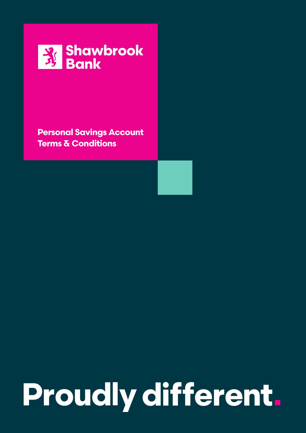

**Personal Savings Account**

# Proudly different.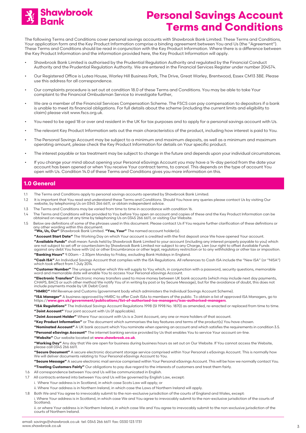

The following Terms and Conditions cover personal savings accounts with Shawbrook Bank Limited. These Terms and Conditions, Your application form and the Key Product Information comprise a binding agreement between You and Us (the "Agreement"). These Terms and Conditions should be read in conjunction with the Key Product Information. Where there is a difference between the Key Product Information and the information provided here, the Key Product Information will apply.

- Shawbrook Bank Limited is authorised by the Prudential Regulation Authority and regulated by the Financial Conduct Authority and the Prudential Regulation Authority. We are entered in the Financial Services Register under number 204574.
- Our Registered Office is Lutea House, Warley Hill Business Park, The Drive, Great Warley, Brentwood, Essex CM13 3BE. Please use this address for all correspondence.
- Our complaints procedure is set out at condition 18.0 of these Terms and Conditions. You may be able to take Your complaint to the Financial Ombudsman Service to investigate further,
- We are a member of the Financial Services Compensation Scheme. The FSCS can pay compensation to depositors if a bank is unable to meet its financial obligations. For full details about the scheme (including the current limits and eligibility to claim) please visit www.fscs.org.uk.
- You need to be aged 18 or over and resident in the UK for tax purposes and to apply for a personal savings account with Us.
- The relevant Key Product Information sets out the main characteristics of the product, including how interest is paid to You.
- The Personal Savings Account may be subject to a minimum and maximum deposits, as well as a minimum and maximum operating amount, please check the Key Product Information for details on Your specific product.
- The interest payable or tax treatment may be subject to change in the future and depends upon your individual circumstances.
- If you change your mind about opening your Personal eSavings Account you may have a 14-day period from the date your account has been opened or when You receive Your contract terms, to cancel. This depends on the type of account You open with Us. Condition 14.0 of these Terms and Conditions gives you more information on this.

### **1.0 General**

- 1.1 The Terms and Conditions apply to personal savings accounts operated by Shawbrook Bank Limited.
- 1.2 It is important that You read and understand these Terms and Conditions. Should You have any queries please contact Us by visiting Our website, by telephoning Us on 0345 266 6611, or obtain independent advice.
- 1.3 The Terms and Conditions may be varied from time to time in accordance with condition 16.
- 1.4 The Terms and Conditions will be provided to You before You open an account and copies of these and the Key Product Information can be obtained on request at any time by telephoning Us on 0345 266 6611, or visiting Our Website.
- 1.5 Below are definitions of some of the phrases used in this document. Please contact Us if You require further clarification of these definitions or any other wording within this document: **"We, Us, Our"** Shawbrook Bank Limited. **"You, Your"** The named account holder(s).
	- **"Account Start Date"** The Working Day on which Your account is credited with the first deposit once We have opened Your account.

**"Available Funds"** shall mean: funds held by Shawbrook Bank Limited to your account (including any interest properly payable to you) which<br>are not subject to set off or counterclaim by Shawbrook Bank Limited nor subject t against any debt You have with Us) or other Encumbrance or other legal, regulatory restriction or to any withholding or other tax or imposition. **"Banking Hours"** 9.00am – 2.30pm Monday to Friday, excluding Bank Holidays in England.

**"Cash ISA"** An Individual Savings Account that complies with the ISA Regulations. All references to Cash ISA include the "New ISA" (or "NISA") which took effect from 1 July 2014.

**"Customer Number"** The unique number which We will supply to You which, in conjunction with a password, security questions, memorable word and memorable date will enable You to access Your Personal eSavings Account.

**"Electronic Transfers"** Electronic money transfers used to move money between UK bank accounts (which may include next day payments, CHAPS, BACS or such other method We notify You of in writing by post or by Secure Message), but for the avoidance of doubt, this does not include payments made by UK Debit Card.

**"HMRC"** HM Revenue and Customs (government body which administers the Individual Savings Account Scheme).

**"ISA Manager"** A business approved by HMRC to offer Cash ISAs to members of the public. To obtain a list of approved ISA Managers, go to https://**www.gov.uk/government/publications/list-of-authorised-isa-managers/isas-authorised-managers**.

**"ISA Regulations"** The Individual Savings Account Regulations 1998 (SI 1998 No. 1870) as amended, re-enacted or replaced from time to time. **"Joint Account"** Your joint account with Us (if applicable).

- **"Joint Account Holder"** Where Your account with Us is a Joint Account, any one or more holders of that account.
- **"Key Product Information"** or The document which summarises the key features and terms of the product(s) You have chosen.

**"Nominated Account"** A UK bank account which You nominate when opening an account and which satisfies the requirements in condition 3.5. **"Personal eSavings Account"** The internet banking service provided by Us that enables You to service Your account on-line.

**"Website"** Our website located at **www.shawbrook.co.uk**.

**"Working Day"** Any day that We are open for business during business hours as set out on Our Website. If You cannot access the Website, please call 0345 266 6611.

**"Secure Document"** A secure electronic document storage service comprised within Your Personal s eSavings Account. This is normally how We will deliver documents relating to Your Personal eSavings Account to You.

**"Secure Message"** A secure electronic mail service comprised within Your Personal eSavings Account. This will be how we normally contact You. **"Treating Customers Fairly"** Our obligations to pay due regard to the interests of customers and treat them fairly.

- 1.6 All correspondence between You and Us will be communicated in English.
- 1.7 All contracts entered into between You and Us will be governed by English Law, except: i. Where Your address is in Scotland, in which case Scots Law will apply; or
	- ii. Where Your address is in Northern Ireland, in which case the Laws of Northern Ireland will apply.
- 1.8 Both We and You agree to irrevocably submit to the non-exclusive jurisdiction of the courts of England and Wales, except:

i. Where Your address is in Scotland, in which case We and You agree to irrevocably submit to the non-exclusive jurisdiction of the courts of Scotland;

ii. or where Your address is in Northern Ireland, in which case We and You agree to irrevocably submit to the non-exclusive jurisdiction of the courts of Northern Ireland.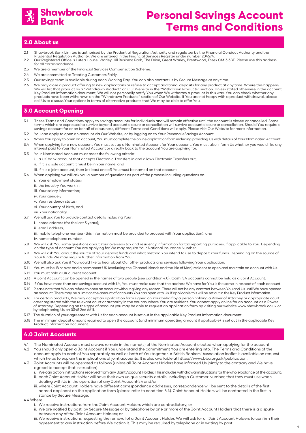

#### **2.0 About us**

- 2.1 Shawbrook Bank Limited is authorised by the Prudential Regulation Authority and regulated by the Financial Conduct Authority and the Prudential Regulation Authority. We are entered in the Financial Services Register under number 204574.
- 2.2 Our Registered Office is Lutea House, Warley Hill Business Park, The Drive, Great Warley, Brentwood, Essex CM13 3BE. Please use this address for all correspondence.
- 2.3 We are a member of the Financial Services Compensation Scheme.
- 2.4 We are committed to Treating Customers Fairly
- 2.5 Our savings team is available during each Working Day. You can also contact us by Secure Message at any time.
- 2.6 We may close a product offering to new applications or refuse to accept additional deposits for any product at any time. Where this happens, We will list that product as a "Withdrawn Product" on Our Website in the "Withdrawn Products" section. Unless stated otherwise in the account Key Product Information document, We will not personally notify You when We withdraw a product in this way. You can check whether any<br>products have been withdrawn on the "Withdrawn Products" section of Our Website. If You call Us to discuss Your options in terms of alternative products that We may be able to offer You.

### **3.0 Account Opening**

- 3.1 These Terms and Conditions apply to savings accounts for individuals and will remain effective until the account is closed or cancelled. Some terms which are expressed to survive beyond account closure or cancellation will survive account closure or cancellation. Should You require a<br>savings account for or on behalf of a business, different Terms and Conditions
- 3.2 You can apply to open an account via Our Website, or by logging on to Your Personal eSavings Account.
- 3.3 When You apply to open an account, You must complete the online application form including providing Us with details of Your Nominated Account.
- 3.4 When applying for a new account You must set up a Nominated Account for Your account. You must also inform Us whether you would like any interest paid to Your Nominated Account or directly back to the account You are applying for.
- 3.5 Your Nominated Account must meet the following criteria:
	- i. a UK bank account that accepts Electronic Transfers in and allows Electronic Transfers out;
	- ii. if it is a sole account it must be in Your name; and
	- iii. if it is a joint account, then (at least one of) You must be named on that account
- 3.6 When applying we will ask you a number of questions as part of the process including questions on:
	- i. Your employment status;
	- ii. the industry You work in;
	- iii. Your salary information;
	- iv. Your gender;
	- v. Your residency status;
	- vi. Your country of birth; and
	- vii. Your nationality.
- 3.7 We will ask You to provide contact details including Your:
	- i. home address (for the last 3 years);
	- ii. email address;
	- iii. mobile telephone number (this information must be provided to proceed with Your application); and
	- iv. home telephone number.
- 3.8 We will ask You some questions about Your overseas tax and residency information for tax reporting purposes, if applicable to You. Depending on the type of account You are applying for We may require Your National Insurance Number.
- 3.9 We will ask You about the source of Your deposit funds and what method You intend to use to deposit Your funds. Depending on the source of Your funds We may require further information from You.
- 3.10 We will also ask You if You would like to hear about Our other products and services following Your application.
- 3.11 You must be 18 or over and a permanent UK (excluding the Channel Islands and the Isle of Man) resident to open and maintain an account with Us. 3.12 You must hold a UK current account.
- 
- 3.13 A Joint Account can be opened in the names of two people (see condition 4.0). Cash ISA accounts cannot be held as a Joint Account.
- 3.14 If You have more than one savings account with Us, You must make sure that the address We have for You is the same in respect of each account.
- 3.15 Please note that We can refuse to open an account without giving any reason. There will not be any contract between You and Us until We have opened<br>an account. There may be a limit on the amount of accounts You can op
- 3.16 For certain products, We may accept an application form signed on Your behalf by a person holding a Power of Attorney or appropriate court order registered with the relevant court or authority in the country where You are resident. You cannot apply online for an account as a Power of Attorney. Depending on the type of account you may be able to request an application form by visiting our website www.shawbrook.co.uk or by telephoning Us on 0345 266 6611.
- 3.17 The duration of your agreement with Us for each account is set out in the applicable Key Product Information document.
- 3.18 The minimum deposit amount required to open the account (and minimum operating amount if applicable) is set out in the applicable Key Product Information document.

### **4.0 Joint Accounts**

- 4.1 The Nominated Account must always remain in the name(s) of the Nominated Account elected when applying for the account.
- 4.2 You should only open a Joint Account if You understand the commitment You are entering into. The Terms and Conditions of the account apply to each of You separately as well as both of You together. A British Bankers' Association leaflet is available on request which helps to explain the implications of joint accounts. It is also available at https://www.bba.org.uk/publication.
- 4.3 Joint Accounts will be operated as follows (unless all Joint Account Holders have informed Us jointly to the contrary and We have agreed to accept that instruction):
	- i. We can action instructions received from any Joint Account Holder. This includes withdrawal instructions for the whole balance of the account;
	- ii. each Joint Account Holder will have their own unique security details, including a Customer Number, that they must use when dealing with Us in the operation of any Joint Account(s); and/or
	- iii. where Joint Account Holders have different correspondence addresses, correspondence will be sent to the details of the first named applicant on the application form (please refer to condition 6.4). Joint Account Holders will be contacted in the first in stance by Secure Message.
- 4.4 Where:
	- i. We receive instructions from the Joint Account Holders which are contradictory; or
	- ii. We are notified by post, by Secure Message or by telephone by one or more of the Joint Account Holders that there is a dispute between any of the Joint Account Holders; or
	- iii. We receive instructions requesting the removal of a Joint Account Holder, We will ask for all Joint Account Holders to confirm their agreement to any instruction before We action it. This may be required by telephone or in writing by post.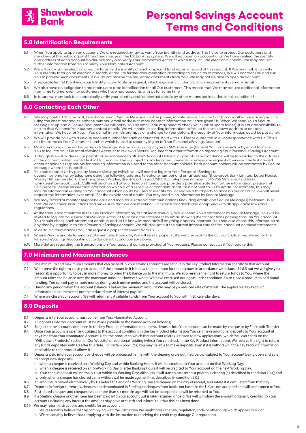

### **5.0 Identification Requirements**

- 5.1 When You apply to open an account, We are required by law to verify Your identity and address. This helps to protect Our customers and members of the public against fraud and misuse of the UK banking system. We will not open an account until We have verified the identity and address of each account holder. We may also verify Your Nominated Account which may include electronic checks. We may request further information from You to verify Your Nominated Account.
- 5.2 We will carry out an electronic search to verify the identity of each applicant (and retain a record of this search). If We are unable to verify Your identity through an electronic search, or require further documentation according to Your circumstances, We will contact You and ask You to provide such documents. If We do not receive the requested documents from You, We may not be able to open an account.
- 5.3 A separate leaflet (Verifying Your Identity) is available on request, which explains Our identification requirements in more detail.
- 5.4 We also have an obligation to maintain up to date identification for all Our customers. This means that We may require additional information from time to time, even for customers who have had accounts with Us for some time
- 5.5 In future we may look to electronically verify your identity and/or contact details by other means not included in this condition 5.

### **6.0 Contacting Each Other**

- 6.1 We may contact You by post, telephone, email, Secure Message, mobile phone, mobile device, SMS text and/or any other messaging service using the latest address, telephone number, email address or other contact information You have given Us. When We send You a Secure Message or upload a Secure Document We will notify You by email (You may need to check your junk or spam folder). It is Your responsibility to<br>ensure that We have Your current contact details. We will continue sending info information We have for You. If You do not inform Us promptly of a change to Your details, the security of Your information could be put at risk.
- 6.2 We will provide You with a unique account number for each account You hold with Us. Please quote this in all correspondence with Us. This is not the same as Your Customer Number which is used to securely log on to Your Personal eSavings Account.
- 6.3 Most communication will be by Secure Message. We may also contact you by SMS message (to reset Your password) or by email to invite You to log into Your Personal eSavings Account to review a Secure Document or other information regarding Your Personal eSavings Account.
- 6.4 Although We will address Our postal correspondence to all Joint Account Holders, all postal correspondence will be forwarded to the address of the account holder named first in Our records. This is subject to any legal requirements or unless You request otherwise. The first named account holder is responsible for passing information We send to the other account holders. Both account holders will be contacted by Secure Message where this is possible.<br>6.5 You can contact Us by post. by
- 6.5 You can contact Us by post, by Secure Message (which you will need to log into Your Personal eSavings to access), by email or by telephone using the following address, telephone number and email address: Shawbrook Bank Limited, Lutea House,<br>Warley Hill Business Park, The Drive, Great Warley, Brentwood, Essex CM13 3BE, telepho Our Website. Please ensure that information which is of a sensitive or confidential nature is not sent to Us by email. For example, this may include information relating to Your account which could be used to identify You or enable a third party to access Your account. We will never<br>request this information over email. For the avoidance of doubt, You may send s
- 6.6 We may record or monitor telephone calls and monitor electronic communications (including emails and Secure Messages) between Us so that We can check instructions and make sure that We are meeting Our service standards and complying with all applicable laws and regulations.
- 6.7 At the frequency stipulated in the Key Product Information, but at least annually, We will send You a statement by Secure Message, You will be invited to log into Your Personal eSavings Account to access the statement by email showing the transactions passing through Your account.<br>You should check each statement carefully and let Us know immediately if anything a any time by logging in to Your Personal eSavings Account. We will also set out the current interest rate for Your account on these statements.
- 6.8 In certain circumstances You can request a paper statement from Us.
- 6.9 Where We are unable to send a statement electronically, We will send a paper statement by post to the account holder registered for the Personal eSavings Account in accordance with condition 6.4 above.
- 6.10 More details regarding the transactions on Your account can be provided at Your request. Please contact Us if You require this.

### **7.0 Minimum and Maximum balances**

- 7.1 The minimum and maximum amounts that can be held in Your savings accounts are set out in the Key Product Information specific to that account.
- 7.2 We reserve the right to close your account if the amount in it is below the minimum for that account in accordance with clause 14.8.5 but we will give you reasonable opportunity to pay in more money to bring the balance up to the minimum. We also reserve the right to return funds to You, where the amount takes the balance over the maximum amount. However, where We have exercised our rights under condition 2.6 to close a product to additional funding, You cannot pay in more money during such notice period and the account will be closed.
- 7.3 During any period when the account balance is below the minimum amount We may pay a reduced rate of interest. The applicable Key Product Information document sets out the reduced rate of interest payable.
- 7.4 Where we close Your account, We will return any Available Funds from Your account to You within 30 calendar days.

### **8.0 Deposits**

- 8.1 Deposits into Your account must come from Your Nominated Account.
- 8.2 All deposits into Your account must be made payable to the named account holder(s).
- 8.3 Subject to the account conditions in the Key Product Information document, deposits into Your account can be made by cheque or by Electronic Transfer. 8.4 Once Your account is open and subject to the account conditions in the Key Product Information You can make additional deposits to Your account at
- any time from Your Nominated Account, until the product to which that account relates is closed to new applications (which You can check on the "Withdrawn Products" section of Our Website) or additional funding (which You can check in the Key Product Information). We reserve the right to return any funds deposited with Us after this date. For certain products, You may be able to make deposits even if it is withdrawn if the Key Product Information applicable to that product allows it.
- 8.5 Deposits paid into Your account by cheque will be processed in line with the clearing cycle outlined below (subject to Your account being open and able to accept new deposits):
	- i. when a cheque is received on a Working Day and within Banking Hours, it will be credited to Your account on that Working Day;
	- ii. when a cheque is received on a non-Working Day or after Banking Hours it will be credited to Your account on the next Working Day;
	- iii. Your cheque deposit will normally clear within six Working Days although it will start to earn interest prior to it clearing (as described in condition 10.4); and iv. only when a cheque has cleared can a withdrawal be made against it (as described in condition 9.0.)
- 8.6 All amounts received electronically by Us before the end of a Working Day are cleared on the day of receipt, and interest is calculated from that day.
- 8.7 Deposits in foreign currencies, cheques not denominated in Sterling, or cheques from banks not based in the UK are not accepted and will be returned to You.
- 8.8 Post-dated cheques and cheques issued more than six months ago will not be accepted and will be returned to You.
- 8.9 If a Sterling cheque or other item has been paid into Your account but is later returned unpaid, We will withdraw the amount originally credited to Your account (including any interest the amount may have accrued) and inform You that this has been done.
- 8.10 We may return instructions and credits for an account if:
	- i. We reasonably believe that by complying with the instruction We might break the law, regulation, code or other duty which applies to Us; or ii. We reasonably believe that complying with the instruction or receiving the credit may damage Our reputation.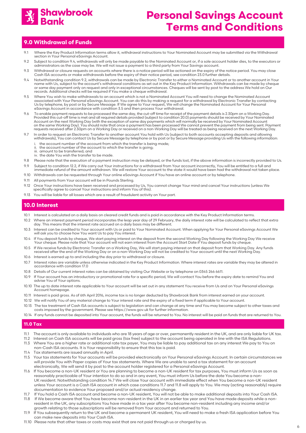

### **9.0 Withdrawal of Funds**

- 9.1 Where the Key Product Information terms allow it, withdrawal instructions to Your Nominated Account may be submitted via the Withdrawal section in Your Personal eSavings Account.
- 9.2 Subject to condition 9.4, withdrawals will only be made payable to the Nominated Account or, if a sole account holder dies, to the executors or administrators as the case may be. We will not issue a payment to a third party from Your Savings account.
- 9.3 Withdrawal or closure requests on accounts where there is a notice period will be actioned on the expiry of the notice period. You may close Cash ISA accounts or make withdrawals before the expiry of their notice period, see condition 23.0 further details.
- 9.4 Notwithstanding condition 9.2, withdrawals can be made by Electronic Transfer to either a Nominated Account or to another account in Your name with Us, subject to the account's withdrawal conditions as set out in the Key Product Information. Withdrawals can be made by cheque or same day payment only on request and only in exceptional circumstances. Cheques will be sent by post to the address We hold on Our records. Additional checks will be required if You make a cheque withdrawal.
- 9.5 Where You wish to make withdrawals to an account which is not a Nominated Account You will need to change the Nominated Account associated with Your Personal eSavings Account. You can do this by making a request for a withdrawal by Electronic Transfer by contacting<br>Us by telephone, by post or by Secure Message. If We agree to Your request, We will eSavings Account in accordance with condition 3.5 and then process Your withdrawal.
- 9.6 To enable payment requests to be processed the same day, the cut-off time for receipt of the payment details is 2.30pm on a Working Day.<br>Provided this cut-off time is met and all required details provided (subject to c on the same Working Day). You should note that once a payment has been processed We cannot prevent the payment from being sent. Payment requests received after 2.30pm on a Working Day or received on a non-Working Day will be treated as being received on the next Working Day.
- 9.7 In order to request an Electronic Transfer to another account You hold with Us (subject to both accounts accepting deposits and allowing withdrawals), You can contact Us by Secure Message by telephone or by post or by Secure Message providing Us with the following information:
	- i. the account number of the account from which the transfer is being made; ii. the account number of the account to which the transfer is going;
	- iii. amount to be transferred; and
	- iv. the date You wish the transfer to be made.
- 9.8 Please note that the execution of a payment instruction may be delayed, or the funds lost, if the above information is incorrectly provided to Us. 9.9 Subject to condition 12.2, if We carry out Your instructions for a withdrawal from Your account incorrectly, You will be entitled to a full and
- immediate refund of the amount withdrawn. We will restore Your account to the state it would have been had the withdrawal not taken place. 9.10 Withdrawals can be requested through Your online eSavings Account if You have an online account or by telephone.
- 9.11 All payments from Your account will be in Pounds Sterling.
- 9.12 Once Your instructions have been received and processed by Us, You cannot change Your mind and cancel Your instructions (unless We
- specifically agree to cancel Your instructions and inform You of this).
- 9.13 You will be liable for all losses which are a result of fraudulent activity on Your part.

### **10.0 Interest**

- 10.1 Interest is calculated on a daily basis on cleared credit funds and is paid in accordance with the Key Product Information terms.
- 10.2 Where an interest payment period incorporates the leap year day of 29 February, the daily interest rate will be calculated to reflect that extra day. This means that the interest rate accrued on a daily basis may be different.
- 10.3 Interest can be credited to Your account with Us or paid to Your Nominated Account. When applying for Your Personal eSavings Account We will ask you to choose how You want Us to pay You interest.
- 10.4 If You deposit funds by cheque, We start paying interest on the deposit from the second Working Day following the Working Day We receive<br>Your cheque. Please note that Your account will not earn interest from the Accou
- 10.5 If We receive funds by Electronic Transfer on a Working Day, We will start paying interest on that deposit from that Working Day. Any funds received after the end of the Working Day or on a non-Working Day will not be credited to Your account until the next Working Day.
- 10.6 Interest is earned up to and including the day prior to withdrawal or closure.
- 10.7 Interest rates are variable unless otherwise indicated in the Key Product Information. Where interest rates are variable they may be altered in accordance with condition 17.0
- 10.8 Details of Our current interest rates can be obtained by visiting Our Website or by telephone on 0345 266 6611.
- 10.9 If Your account has an introductory or promotional rate for a specific period, We will contact You before the expiry date to remind You and advise You of Your options.
- 10.10 The up to date interest rate applicable to Your account will be set out in any statement You receive from Us and on Your Personal eSavings Account homepage.
- 10.11 Interest is paid gross. As of 6th April 2016, income tax is no longer deducted by Shawbrook Bank from interest earned on your account.
- 10.12 We will notify You of any material change to Your interest rate and the expiry of a fixed term if applicable to Your account.
- 10.13 The tax treatment of Cash ISA accounts is subject to legislation and can change at any time and You may become subject to other taxes and costs imposed by the government. Please see https://www.gov.uk for further information.
- 10.14 If any funds cannot be deposited into Your account, the funds will be returned to You. No interest will be paid on funds that are returned to You.

#### **11.0 Tax**

- 11.1 The account is only available to individuals who are 18 years of age or over, permanently resident in the UK, and are only liable for UK tax.
- 11.2 Interest on Cash ISA accounts will be paid gross (tax free) subject to the account being operated in line with the ISA Regulations. 11.3 Where You are a higher rate or additional rate tax payer, You may be liable to pay additional tax on any interest We pay to You on non-Cash ISA accounts. It is Your responsibility to ensure that this tax is paid.
- 11.4 Tax statements are issued annually in April.
- 11.5 Your tax statements for Your accounts will be provided electronically on Your Personal eSavings Account. In certain circumstances we will provide You with Paper copies of Your tax statements. Where We are unable to send a tax statement for an account electronically, We will send it by post to the account holder registered for a Personal eSavings Account.
- 11.6 If You become a non-UK resident or You are planning to become a non-UK resident for tax purposes, You must inform Us as soon as reasonably practicable of Your intention to do so and in any event, You must inform Us before the date You become a non- UK resident. Notwithstanding condition 14.7 We will close Your account with immediate effect when You become a non-UK resident unless Your account is a Cash ISA account in which case conditions 11.7 and 11.8 will apply to You. We may (acting reasonably) require documentation to evidence Your proposed and/or actual residency change.
- 11.7 If You hold a Cash ISA account and become a non-UK resident, You will not be able to make additional deposits into Your Cash ISA. 11.8 If We become aware that You have become non-resident in the UK in an earlier tax year and You have made deposits while a non resident in the UK, any subscriptions You have made in a tax year after You became non-resident including any income and/or
- growth relating to those subscriptions will be removed from Your account and returned to You. 11.9 If You subsequently return to the UK and become a permanent UK resident, You will need to make a fresh ISA application before You can make new deposits into Your Cash ISA.
- 11.10 Please note that other taxes or costs may exist that are not paid through us or charged by us.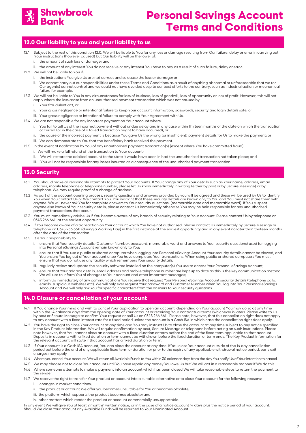

### **12.0 Our liability to you and your liability to us**

- 12.1 Subject to the rest of this condition 12.0, We will be liable to You for any loss or damage resulting from Our failure, delay or error in carrying out Your instructions (however caused) but Our liability will be the lower of:
	- i. the amount of such loss or damage; and
	- ii. the amount of any interest You do not receive or any interest You have to pay as a result of such failure, delay or error.
- 12.2 We will not be liable to You if:
	- i. the instructions You give Us are not correct and so cause the loss or damage; or
	- ii. We cannot carry out our responsibilities under these Terms and Conditions as a result of anything abnormal or unforeseeable that we (or Our agents) cannot control and we could not have avoided despite our best efforts to the contrary, such as industrial action or mechanical failure for example.
- 12.3 We will not be liable to You in any circumstances for loss of business, loss of goodwill, loss of opportunity or loss of profit. However, this will not<br>apply where the loss arose from an unauthorised payment transacti
	- i. Your fraudulent act, or
	- ii. Your gross negligence or intentional failure to keep Your account information, passwords, security and login details safe, or
- iii. Your gross negligence or intentional failure to comply with Your Agreement with Us.
- 12.4 We are not responsible for any incorrect payment on Your account where
	- i. You fail to tell Us of the incorrect payment without undue delay and in any case within thirteen months of the date on which the transaction occurred (or in the case of a failed transaction ought to have occurred); or
	- ii. the cause of the incorrect payment is because You gave Us the wrong (or insufficient) payment details for Us to make the payment; or
	- iii. We can demonstrate to You that the beneficiary bank received the payment.
- 12.5 In the event of notification by You of any unauthorised payment transaction(s) (except where You have committed fraud):
	- i. We will make a full refund of the transaction to Your account;
	- ii. We will restore the debited account to the state it would have been in had the unauthorised transaction not taken place; and
	- iii. You will not be responsible for any losses incurred as a consequence of the unauthorised payment transaction.

#### **13.0 Security**

- 13.1 You should make all reasonable attempts to protect Your accounts. If You change any of Your details such as Your name, address, email address, mobile telephone or telephone number, please let Us know immediately in writing (either by post or by Secure Message) or by telephone. We may require proof of a change of address.
- 13.2 As part of the account opening process, security questions and answers provided by you will be agreed and these will be used by Us to identify You when You contact Us or We contact You. You warrant that these security details are known only to You and You must not share them with anyone. We will never ask You for complete answers to Your security questions, [memorable date and memorable word]. If You suspect anyone else knows of Your security details, please contact Us immediately otherwise You may be held responsible for any unauthorised payment transactions that occur.
- 13.3 You must immediately advise Us if You become aware of any breach of security relating to Your account. Please contact Us by telephone on 0345 266 6611 at the earliest opportunity.
- 13.4 If You become aware of a transaction on Your account which You have not authorised, please contact Us immediately by Secure Message or telephone on 0345 266 6611 (during a Working Day) in the first instance at the earliest opportunity and in any event no later than thirteen months after the date of the transaction.
- 13.5 It is Your responsibility to:
	- i. ensure that Your security details (Customer Number, password, memorable word and answers to Your security questions) used for logging into Personal eSavings Account remain known only to You;
	- ii. ensure that if You use a public or shared computer when logging into Personal eSavings Account Your security details cannot be viewed, and You ensure You log out of Your account once You have completed Your transactions. When using public or shared computers You must ensure that you do not use any facility which remembers Your security details;
	- iii. regularly review and update the security software installed on the computer(s) You use to access Your Personal eSavings Account;
	- iv. ensure that Your address details, email address and mobile telephone number are kept up to date as this is the key communication method We will use to inform You of changes to Your account and other important messages;
	- v. inform Us immediately of any communications You receive that request Your Personal eSavings Account security details (telephone calls, emails, suspicious websites etc). We will only ever request Your password and Customer Number when You log into Your Personal eSavings Account and We will only ask You for specific characters from the answers to Your security questions.

#### **14.0 Closure or cancellation of your account**

- 14.1 If You change Your mind and wish to cancel Your application to open an account, depending on Your account You may do so at any time within the 14 calendar days from the opening date of Your account or receiving Your contractual terms (whichever is later). Please write to Us<br>by post or Secure Message to confirm Your request or call Us on 0345 266 6611. to any account with a fixed interest rate for a fixed period unless the account is a Cash ISA in which case the cancellation right does apply.
- 14.2 You have the right to close Your account at any time and You may instruct Us to close the account at any time subject to any notice specified in the Key Product Information. We will require confirmation by post, Secure Message or telephone before acting on such instructions. Please note however, that You cannot close an account with a fixed duration or term before the end of the fixed term applicable to that account.<br>Deposits in accounts with a fixed duration or term cannot be withdrawn before the fi the relevant account will state if that account has a fixed duration or term.
- 14.3 If Your account is a Cash ISA account, You can close the account at any time. If You close Your account outside of the 14 day cancellation period but before the end of any applicable fixed term or duration or prior to the expiry of any applicable withdrawal notice period, early exit .<br>charges may apply.
- 14.4 Where you cancel Your account, We will return all Available Funds to You within 30 calendar days from the day You notify Us of Your intention to cancel.
- 14.5 We may choose not to close Your account until You have repaid any money You owe Us but We will act in a reasonable manner if We do this.
- 14.6 Where someone attempts to make a payment into an account which has been closed We will take reasonable steps to return the payment to the sender.
- 14.7 We reserve the right to transfer Your product or account into a suitable alternative or to close Your account for the following reasons: i. changes in market conditions;
	- ii. the product or account We offer you becomes unsuitable for You or becomes obsolete;
	- iii. the platform which supports the product becomes obsolete; and
	- iv. other matters which render the product or account commercially unsupportable.

In any event We will give You at least 2 months' written notice, or in the case of a notice account 14 days plus the notice period of your account. Should We close Your account any Available Funds will be returned to Your Nominated Account.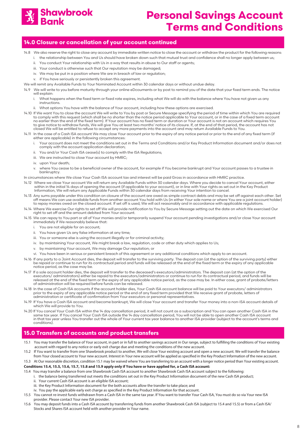

### **14.0 Closure or cancellation of your account continued**

- 14.8 We also reserve the right to close any account by immediate written notice to close the account or withdraw the product for the following reasons:
	- i. the relationship between You and Us should have broken down such that mutual trust and confidence shall no longer apply between us;
	- ii. You conduct Your relationship with Us in a way that results in abuse to Our staff or agents;
	- iii. Your conduct is otherwise such that Our reputation may be damaged; iv. We may be put in a position where We are in breach of law or regulation;
	- v. if You have seriously or persistently broken this agreement.
- We will remit any Available Funds to Your Nominated Account within 30 calendar days or without undue delay.
- 14.9 We will write to you before maturity through your online eDcouments or by post to remind you of the date that your fixed term ends. The notice will explain:
	- i. What happens when the fixed term or fixed rate expires, including what We will do with the balance where You have not given us any instructions.
	- ii. What options You have with the balance of Your account, including how these options are exercised.
- 14.10 If We want You to close the account We will write to You by post or Secure Message specifying the period of time within which You are required<br>to comply with this request (which shall be no shorter than the notice pe no earlier than the end of the fixed term). If Your account has no fixed term or duration or Your account is not an account which requires You to give notice to withdraw funds, We will give You at least two months' notice of its closure. If, at the end of that period, the account has not closed We will be entitled to refuse to accept any more payments into the account and may return Available Funds to You.
- 14.11 In the case of a Cash ISA account We may close Your account prior to the expiry of any notice period or prior to the end of any fixed term (if either are applicable) in the following circumstances:
	- i. Your account does not meet the conditions set out in the Terms and Conditions and/or Key Product Information document and/or does not comply with the account application declaration;
	- ii. You and/or Your Cash ISA cease(s) to comply with the ISA Regulations;
	- iii. We are instructed to close Your account by HMRC;
	- iv. upon Your death;
	- v. where You cease to be a beneficial owner of the account, for example if You become bankrupt and Your account passes to a trustee in bankruptcy.
- In circumstances where We close Your Cash ISA account tax and interest will be paid Gross in accordance with HMRC practice.
- 14.12 Where we close Your account We will return any Available Funds within 30 calendar days. Where you decide to cancel Your account, either within in the initial 14 days of opening the account (if applicable to your account), or in line with Your rights as set out in the Key Product<br>Information, We will return any Applicable Funds within 30 calendar days from
- 14.13 Any sums payable under this condition on closure of the account are owed as simple contract debts and may be set off against each other. Set off means We can use available funds from another account You hold with Us (in either Your sole name or where You are a joint account holder) to repay monies owed on the closed account. If set off is used, We will act reasonably and in accordance with applicable regulations.
- 14.14 Where We exercise Our rights to set off We will provide notification to You by Secure Message setting out the date on which We exercised Our right to set off and the amount debited from Your account.
- 14.15 We can repay to You part or all of Your monies and/or temporarily suspend Your account pending investigations and/or close Your account immediately if We reasonably believe that:
	- i. You are not eligible for an account;
	- ii. You have given Us any false information at any time;
	- iii. You or someone else is using the account illegally or for criminal activity;
	- iv. by maintaining Your account, We might break a law, regulation, code or other duty which applies to Us;
	- v. by maintaining Your account, We may damage Our reputation; or
	- vi. You have been in serious or persistent breach of this agreement or any additional conditions which apply to an account.
- 14.16 If any party to a Joint Account dies, the deposit will transfer to the surviving party. The deposit can (at the option of the surviving party) either<br>be repaid or continue to run for its contractual period and funds notice period, as the case may be.
- 14.17 If a sole account holder dies, the deposit will transfer to the deceased's executors/administrators. The deposit can (at the option of the<br>executors/ administrators) either be repaid to the executors/administrators o released at the end of the fixed term or the expiry of any applicable notice period, as the case may be. In either case, grant of probate/letters of administration will be required before funds can be released.
- 14.18 In the case of Cash ISA accounts if the account holder dies, Your Cash ISA account balance will be paid to Your executors/ administrators prior to the expiry of any applicable notice period or the end of any fixed term provided that We receive grant of probate, letters of administration or certificate of confirmation from Your executors or personal representatives.
- 14.19 If You have a Cash ISA account and become bankrupt, We will close Your account and transfer Your money into a non-ISA account details of which We will provide to You.
- 14.20 If You cancel Your Cash ISA within the 14 day cancellation period, it will not count as a subscription and You can open another Cash ISA in the same tax year. If You cancel Your Cash ISA outside the 14 day cancellation period, You will not be able to open another Cash ISA account<br>in that tax year unless You transfer out the whole of Your current tax year balance t conditions).

### **15.0 Transfers of accounts and product transfers**

- 15.1 You may transfer the balance of Your account, in part or in full to another savings account in Our range, subject to fulfilling the conditions of Your existing account with regard to any notice or early exit charge due and meeting the conditions of the new account.
- 15.2 If You want to transfer from one Shawbrook product to another, We will close Your existing account and open a new account. We will transfer the balance from Your closed account to Your new account. Interest in Your new account will be applied as specified in the Key Product Information of the new account.

#### 15.3 At Our reasonable discretion, condition 15.1 may be waived where You are transferring to an account with a longer notice period than Your existing account. **Conditions 15.4, 15.5, 15.6, 15.7, 15.8 and 15.9 apply only if You have or have applied for, a Cash ISA account:**

15.4 You may transfer a balance from one Shawbrook Cash ISA account to another Shawbrook Cash ISA account subject to the following:

- i. the balance being transferred out meets the conditions set out in the Key Product Information document of the new Cash ISA product;
- ii. Your current Cash ISA account is an eligible ISA account;
- iii. the Key Product Information document for the both accounts allow the transfer to take place; and
- iv. You pay the applicable early exit charge as specified in the Key Product Information for that account.
- 15.5 You cannot re-invest funds withdrawn from a Cash ISA in the same tax year. If You want to transfer Your Cash ISA, You must do so via Your new ISA provider. Please contact Your new ISA provider.
- 15.6 You may deposit funds into a Cash ISA account by transferring funds from another Shawbrook Cash ISA (subject to 15.4 and 15.5) or from a Cash ISA/ Stocks and Shares ISA account held with another provider in Your name.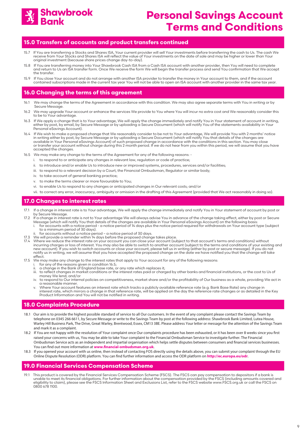

#### **15.0 Transfers of accounts and product transfers continued**

- 15.7 If You are transferring a Stocks and Shares ISA, Your current provider will sell Your investments before transferring the cash to Us. The cash We receive from Your Stocks and Shares ISA will reflect the value of Your investments on the date of sale and may be higher or lower than Your original investment (because share prices change day-to-day).
- 15.8 If You are transferring money into Your Shawbrook Cash ISA from a Cash ISA account with another provider, then You will need to complete and return to Us an ISA transfer form. Once We receive the form We will begin the transfer process and send You confirmation that We accept the transfer.
- 15.9 If You close Your account and do not arrange with another ISA provider to transfer the money in Your account to them, and if the account<br>contained subscriptions made in the current tax year You will not be able to ope

### **16.0 Changing the terms of this agreement**

- 16.1 We may change the terms of the Agreement in accordance with this condition. We may also agree separate terms with You in writing or by Secure Message.
- 16.2 We may upgrade Your account or enhance the services We provide to You where You will incur no extra cost and We reasonably consider this to be to Your advantage.
- 16.3 If We apply a change that is to Your advantage, We will apply the change immediately and notify You in Your statement of account in writing, either by post, by email, by Secure Message or by uploading a Secure Document (which will notify You of the statements availability in Your Personal eSavings Account).
- 16.4 If We wish to make a proposed change that We reasonably consider to be not to Your advantage, We will provide You with 2 months' notice in writing either by post, by Secure Message or by uploading a Secure Document (which will notify You that details of the changes are available in Your Personal eSavings Account) of such proposed change in accordance with the conditions in this section. You may close or transfer your account without charge during this 2 month period. If we do not hear from you within this period, we will assume that you have accepted the changes.
- 16.5 We may make any change to the terms of the Agreement for any of the following reasons:
	- i. to respond to or anticipate any changes in relevant law, regulation or code of practice;
	- ii. to introduce and/or enable Us to introduce new or improved systems, procedures, services and/or facilities;
	- iii. to respond to a relevant decision by a Court, the Financial Ombudsman, Regulator or similar body;
	- iv. to take account of general banking practice;
	- v. to make the terms clearer or more favourable to You;
	- vi. to enable Us to respond to any changes or anticipated changes in Our relevant costs; and/or
	- vii. to correct any error, inaccuracy, ambiguity or omission in the drafting of this Agreement (provided that We act reasonably in doing so).

#### **17.0 Changes to interest rates**

- 17.1 If a change in interest rate is to Your advantage, We will apply the change immediately and notify You in Your statement of account by post or
- by Secure Message.<br>17.2 If a change in interest rate is not to Your advantage We will always advise You in advance of the change taking effect, either by post or Secure Message (which will notify You that details of the changes are available in Your Personal eSavings Account) on the following basis: i. for accounts with a notice period - a notice period of 14 days plus the notice period required for withdrawals on Your account type (subject to a minimum period of 30 days).
- for accounts without a notice period a notice period of 30 days.
- 
- 17.3 We will provide a reminder within 14 days before the proposed change takes place.<br>17.4 Where we reduce the interest rate on your account you can close your account (subject to that account's terms and conditions) with incurring charges or loss of interest. You may also be able to switch to another account (subject to the terms and conditions of your existing and new account). If you wish to switch accounts or close your account, please tell us in writing (either by post or secure message). If you do not<br>notify us in writing, we will assume that you have accepted the proposed chang effect.
- 17.5 We may make any change to the interest rates that apply to Your account for any of the following reasons: for any of the reasons given in condition 16.5;
	- a change in the Bank of England base rate, or any rate which replaces it;
	- iii. to reflect changes in market conditions or the interest rates paid or charged by other banks and financial institutions, or the cost to Us of money We lend; and/or
	- to respond to Our internal policies on competitiveness, market share and/or the profitability of Our business as a whole, providing We act in a reasonable manner.
	- v. Where Your account features an interest rate which tracks a publicly available reference rate (e.g. Bank Base Rate) any change in interest rate, which mirrors a change in that reference rate, will be applied on the day the reference rate changes or as detailed in the Key Product Information and You will not be notified in writing.

### **18.0 Complaints Procedure**

- 18.1 Our aim is to provide the highest possible standard of service to all Our customers. In the event of any complaint please contact the Savings Team by telephone on 0345 266 6611, by Secure Message or write to the Savings Team by post at the following address: Shawbrook Bank Limited, Lutea House, Warley Hill Business Park, The Drive, Great Warley, Brentwood, Essex, CM13 3BE. Please address Your letter or message for the attention of the Savings Team and mark it as a complaint.
- 18.2 If You are not happy with the resolution of Your complaint once Our complaints procedure has been exhausted, or it has been over 8 weeks since you first raised your concerns with us, You may be able to take Your complaint to the Financial Ombudsman Service to investigate further. The Financial Ombudsman Service acts as an independent and impartial organisation which helps settle disputes between consumers and financial services businesses. You can find out more information at **www.financial-ombudsman.org.uk**.
- 18.3 If you opened your account with us online, then instead of contacting FOS directly using the details above, you can submit your complaint through the EU Online Dispute Resolution (ODR) platform. You can find further information and access the ODR platform on **http://ec.europa.eu/odr**.

#### **19.0 Financial Services Compensation Scheme**

This product is covered by the Financial Services Compensation Scheme (FSCS). The FSCS can pay compensation to depositors if a bank is unable to meet its financial obligations. For further information about the compensation provided by the FSCS (including amounts covered and<br>eligibility to claim), please see the FSCS Information Sheet and Exclusions List, 0800 678 1100.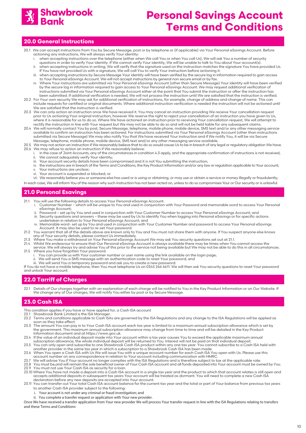

### **20.0 General Instructions**

- 20.1 We can accept instructions from You by Secure Message, post or by telephone or (if applicable) via Your Personal eSavings Account. Before actioning any instructions, We will always verify Your identity:
	- i. when accepting instructions over the telephone (either when We call You or when You call Us), We will ask You a number of security
- questions in order to verify Your identity. If We cannot verify Your identity, We will be unable to talk to You about Your account(s). ii. when accepting instructions in writing, We will verify that the signature used on the instruction matches the signature You have provided Us.
	- If You have not provided Us with a signature, We will call You to verify Your instruction before actioning it. when accepting instructions by Secure Message Your identity will have been verified by the secure log in information required to gain access to Your Personal eSavings Account. We will not accept instructions by general non secure email or by fax.
- iv. Where Your instructions are submitted via Your Personal eSavings Account (other than Secure Message) Your identity will have been verified by the secure log in information required to gain access to Your Personal eSavings Account. We may request additional verification of instructions submitted via Your Personal eSavings Account either at the point that You submit the instruction or after the instruction has been submitted. If additional verification is needed, We will not process the instruction until We are satisfied that the instruction is verified.
- 20.2 For Your own security We may ask for additional verification of instructions, for example, change of address and change of name. This can include requests for certified or original documents. Where additional instruction verification is needed the instruction will not be actioned until We are satisfied that the instruction is verified.
- 20.3 We can only action an instruction once We have received it. You may cancel an instruction providing We receive Your cancellation request prior to Us actioning Your original instruction, however We reserve the right to reject your cancellation of an instruction you have given to Us, where it is reasonable for us to do so. Where We have actioned an instruction prior to receiving Your cancellation request, We will attempt to rectify the instruction in line with Your request but We may not be able to do so and will not be held liable for any subsequent claims.
- 20.4 We will normally contact You by post, Secure Message, telephone, mobile phone, mobile device, SMS text and/or any other messaging service available to confirm an instruction has been actioned. For instructions submitted via Your Personal eSavings Account (other than instructions submitted via Secure Message) We may also notify You that We have received Your instruction and if We notify You, it will be via Secure Message, telephone, mobile phone, mobile device, SMS text and/or any other messaging service available.
- 20.5 We may not action an instruction if We reasonably believe that to do so would cause Us to be in breach of any legal or regulatory obligation We have. 20.6 We may refuse to action an instruction if We reasonably believe:
	- i. in the case of Joint Accounts, any of the circumstances in condition 4.3 apply, and the appropriate confirmation of instructions is not received; ii. We cannot adequately verify Your identity;<br>iii. Your account security details have been co
	- Your account security details have been compromised and it is not You submitting the instruction;
	- iv. the instructions are in breach of the Terms and Conditions, the Key Product Information and/or any law or regulation applicable to Your account; v. Your instructions are unclear;
	- vi. Your account is suspended or blocked; or

vii. We reasonably believe you or someone else has used or is using or obtaining, or may use or obtain a service or money illegally or fraudulently;

In each case, We will inform You of the reason why such instruction has not been acted on, unless to do so compromises Your or Our security or is unlawful.

### **21.0 Personal Esavings**

- 21.1 You will use the following details to access Your Personal eSavings Account:
	- i. Customer Number which will be unique to You and used in conjunction with Your Password and memorable word to access Your Personal eSavings Account;
		- ii. Password set up by You and used in conjunction with Your Customer Number to access Your Personal eSavings Account; and iii. Security questions and answers – these may be used by Us to identify You when logging into Personal eSavings or for specific actions
- undertaken in relation to Your Personal eSavings Account; and iv. Memorable word- set up by You and used in conjunction with Your Customer Number and password to access Your Personal eSavings Account. It may also be used to re-set Your password.
- 21.2 You warrant that all of the details above are known only to You and You must not share them with anyone. If You suspect anyone else knows
- any of Your security details, please contact Us immediately<br>21.3 Where You make a withdrawal on Your Personal eSavinas A ers with the You make a withdrawal on Your Personal eSavings Account We may ask You security questions set out at 21.1.<br>21.4 Whilst We endeavour to ensure that Our Personal eSavings Account is always available there may be
- 21.4 Whilst We endeavour to ensure that Our Personal eSavings Account is always available there may be times when You cannot access the
- service. We will always try and advise You of this prior to the service not being available but We may not be able to do this in all circumstances. Where you have forgotten Your password:
- i. You can provide us with Your customer number or user name using the link available on the login page;
- ii. We will send You a SMS message with an authentication code to reset Your password; and iii. We will send You a temporary password and ask you to create a new password.

If You do not have a mobile telephone, then You must telephone Us on 0345 266 6611. We will then ask You security questions to reset Your password and unlock Your account.

### **22.0 Tarriff of Charges**

22.1 Details of Our charges together with an explanation of each charge will be notified to You in the Key Product Information or on Our Website. If We change any of Our charges, We will notify You either by post or by Secure Message.

### **23.0 Cash ISA**

- This condition applies if you have or have applied for, a Cash ISA account
- 23.1 Shawbrook Bank Limited is the ISA Manager.<br>23.2 Terms and conditions applicable to Cash IS.
- 23.2 Terms and conditions applicable to Cash ISAs are governed by the ISA Regulations and any change to the ISA Regulations will be applied as soon as they take effect.<br>23.3 The amount You can pay
- The amount You can pay in to Your Cash ISA account each tax year is limited to a maximum annual subscription allowance which is set by the government. This maximum annual subscription allowance may change from time to time and will be detailed in the Key Product Information document and at https://www.gov.uk.
- 23.4 If the value of an individual deposit made into Your account within a tax year causes You to exceed the applicable maximum annual
- subscription allowance, the whole individual deposit will be returned to You. Interest will not be paid on that individual deposit.<br>23.5 You can only open and subscribe to one Shawbrook Cash ISA product within any one ta
- another provider in the same tax year in which a subscription to a Shawbrook Cash ISA has been made. 23.6 When You open a Cash ISA with Us We will issue You with a unique account number for each Cash ISA You open with Us. Please use this<br>account number on any correspondence in relation to Your account including communicat
- 23.7 We will advise You if Your account no longer complies with the ISA Regulations and is therefore subject to tax at the applicable rate.<br>23.8 You must be,and will remain the sole beneficial owner of Your Cash ISA accoun
- 23.9 You must not use Your Cash ISA as security for a loan.
- 23.10 Where You have not made a deposit into a Cash ISA account in a single tax year and the product to which that account relates is still open and accepts additional deposits in subsequent tax years Your account will be treated as dormant. You will need to complete a new Cash ISA declaration before any new deposits are accepted into Your account.
- 23.11 You can transfer out Your total Cash ISA account balance for the current tax year and the total or part of Your balance from previous tax years to another Cash ISA provider subject to the following:
	- Your account is not under any criminal or fraud investigation; and
	- ii. You complete a transfer request or application with Your new provider.
- Once We have received a transfer application from Your new provider We will process Your transfer request in line with the ISA Regulations relating to transfers and these Terms and Conditions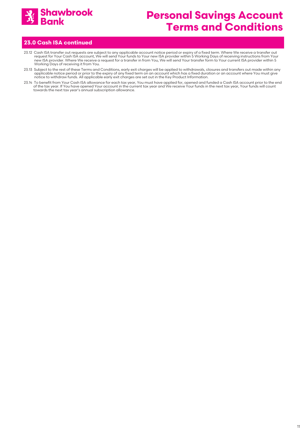

### **23.0 Cash ISA continued**

- 23.12 Cash ISA transfer out requests are subject to any applicable account notice period or expiry of a fixed term. Where We receive a transfer out<br>request for Your Cash ISA account, We will send Your funds to Your new ISA new ISA provider. Where We receive a request for a transfer in from You, We will send Your transfer form to Your current ISA provider within 5 Working Days of receiving it from You.
- 23.13 Subject to the rest of these Terms and Conditions, early exit charges will be applied to withdrawals, closures and transfers out made within any applicable notice period or prior to the expiry of any fixed term on an account which has a fixed duration or an account where You must give<br>notice to withdraw funds. All applicable early exit charges are set out in the Ke
- 23.14 To benefit from Your Cash ISA allowance for each tax year, You must have applied for, opened and funded a Cash ISA account prior to the end of the tax year. If You have opened Your account in the current tax year and We receive Your funds in the next tax year, Your funds will count towards the next tax year's annual subscription allowance.